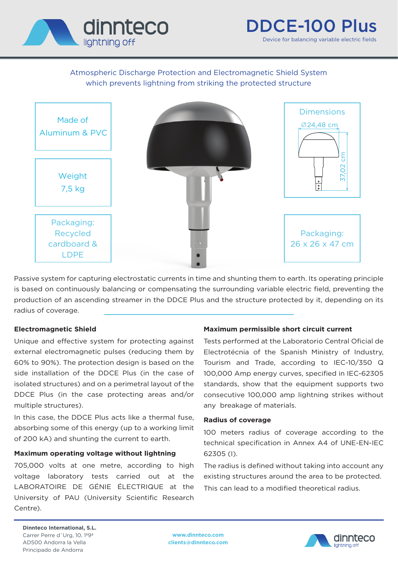

# Atmospheric Discharge Protection and Electromagnetic Shield System which prevents lightning from striking the protected structure



Passive system for capturing electrostatic currents in time and shunting them to earth. Its operating principle is based on continuously balancing or compensating the surrounding variable electric field, preventing the production of an ascending streamer in the DDCE Plus and the structure protected by it, depending on its radius of coverage.

#### **Electromagnetic Shield**

Unique and effective system for protecting against external electromagnetic pulses (reducing them by 60% to 90%). The protection design is based on the side installation of the DDCE Plus (in the case of isolated structures) and on a perimetral layout of the DDCE Plus (in the case protecting areas and/or multiple structures).

In this case, the DDCE Plus acts like a thermal fuse, absorbing some of this energy (up to a working limit of 200 kA) and shunting the current to earth.

#### **Maximum operating voltage without lightning**

705,000 volts at one metre, according to high voltage laboratory tests carried out at the LABORATOIRE DE GÉNIE ÉLECTRIQUE at the University of PAU (University Scientific Research Centre).

## **Maximum permissible short circuit current**

Tests performed at the Laboratorio Central Oficial de Electrotécnia of the Spanish Ministry of Industry, Tourism and Trade, according to IEC-10/350 Q 100,000 Amp energy curves, specified in IEC-62305 standards, show that the equipment supports two consecutive 100,000 amp lightning strikes without any breakage of materials.

#### **Radius of coverage**

100 meters radius of coverage according to the technical specification in Annex A4 of UNE-EN-IEC 62305 (I).

The radius is defined without taking into account any existing structures around the area to be protected. This can lead to a modified theoretical radius.

**Dinnteco International, S.L.** Carrer Perre d´Urg, 10, 1º9ª AD500 Andorra la Vella Principado de Andorra

**www.dinnteco.com clients@dinnteco.com**

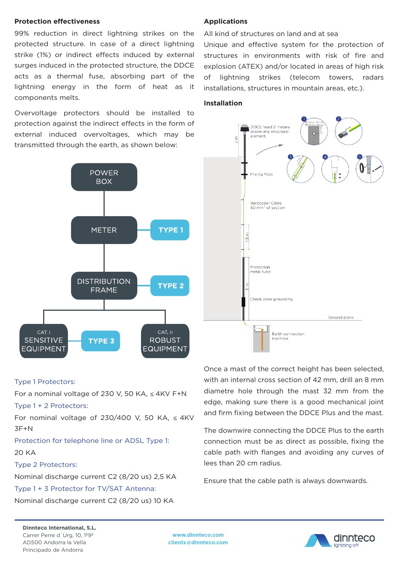#### **Protection effectiveness**

99% reduction in direct lightning strikes on the protected structure. In case of a direct lightning strike (1%) or indirect effects induced by external surges induced in the protected structure, the DDCE acts as a thermal fuse, absorbing part of the lightning energy in the form of heat as it components melts.

Overvoltage protectors should be installed to protection against the indirect effects in the form of external induced overvoltages, which may be transmitted through the earth, as shown below:



## **Applications**

All kind of structures on land and at sea

Unique and effective system for the protection of structures in environments with risk of fire and explosion (ATEX) and/or located in areas of high risk of lightning strikes (telecom towers, radars installations, structures in mountain areas, etc.).

## **Installation**



#### Type 1 Protectors:

For a nominal voltage of 230 V, 50 KA, ≤ 4KV F+N

## Type 1 + 2 Protectors:

For nominal voltage of 230/400 V, 50 KA,  $\leq 4$ KV 3F+N

Protection for telephone line or ADSL Type 1:

20 KA

#### Type 2 Protectors:

Nominal discharge current C2 (8/20 us) 2,5 KA

Type 1 + 3 Protector for TV/SAT Antenna:

Nominal discharge current C2 (8/20 us) 10 KA

Once a mast of the correct height has been selected, with an internal cross section of 42 mm, drill an 8 mm diametre hole through the mast 32 mm from the edge, making sure there is a good mechanical joint and firm fixing between the DDCE Plus and the mast.

The downwire connecting the DDCE Plus to the earth connection must be as direct as possible, fixing the cable path with flanges and avoiding any curves of lees than 20 cm radius.

Ensure that the cable path is always downwards.

**Dinnteco International, S.L.** Carrer Perre d´Urg, 10, 1º9ª AD500 Andorra la Vella Principado de Andorra

**www.dinnteco.com clients@dinnteco.com**